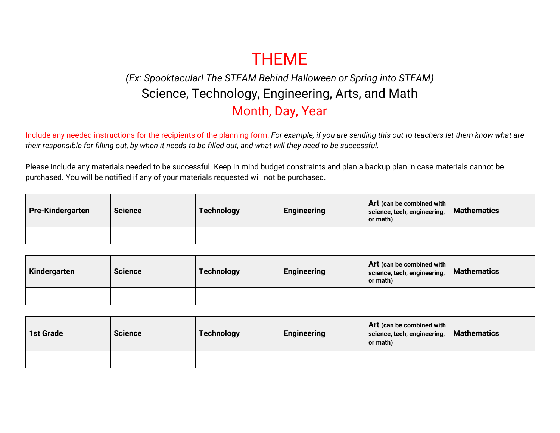# **THEME**

## *(Ex: Spooktacular! The STEAM Behind Halloween or Spring into STEAM)* Science, Technology, Engineering, Arts, and Math Month, Day, Year

Include any needed instructions for the recipients of the planning form. For example, if you are sending this out to teachers let them know what are their responsible for filling out, by when it needs to be filled out, and what will they need to be successful.

Please include any materials needed to be successful. Keep in mind budget constraints and plan a backup plan in case materials cannot be purchased. You will be notified if any of your materials requested will not be purchased.

| <b>Pre-Kindergarten</b> | <b>Science</b> | <b>Technology</b> | <b>Engineering</b> | Art (can be combined with<br>science, tech, engineering,<br>or math) | <b>Mathematics</b> |
|-------------------------|----------------|-------------------|--------------------|----------------------------------------------------------------------|--------------------|
|                         |                |                   |                    |                                                                      |                    |

| Kindergarten | <b>Science</b> | <b>Technology</b> | <b>Engineering</b> | Art (can be combined with<br>science, tech, engineering,<br>or math) | <b>Mathematics</b> |
|--------------|----------------|-------------------|--------------------|----------------------------------------------------------------------|--------------------|
|              |                |                   |                    |                                                                      |                    |

| <b>1st Grade</b> | <b>Science</b> | <b>Technology</b> | <b>Engineering</b> | Art (can be combined with<br>science, tech, engineering,<br>or math) | <b>Mathematics</b> |
|------------------|----------------|-------------------|--------------------|----------------------------------------------------------------------|--------------------|
|                  |                |                   |                    |                                                                      |                    |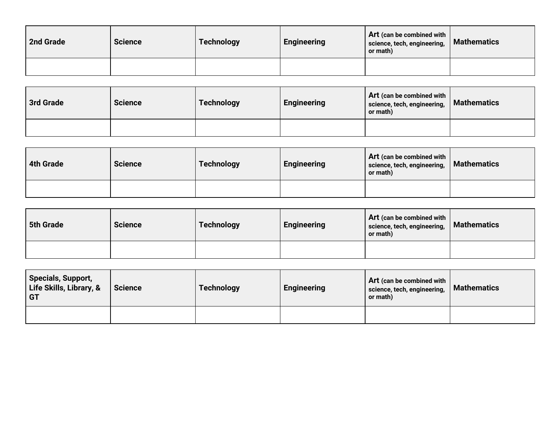| 2nd Grade | <b>Science</b> | <b>Technology</b> | <b>Engineering</b> | Art (can be combined with<br>science, tech, engineering,<br>or math) | <b>Mathematics</b> |
|-----------|----------------|-------------------|--------------------|----------------------------------------------------------------------|--------------------|
|           |                |                   |                    |                                                                      |                    |

| 3rd Grade | <b>Science</b> | <b>Technology</b> | <b>Engineering</b> | Art (can be combined with<br>science, tech, engineering,<br>or math) | <b>Mathematics</b> |
|-----------|----------------|-------------------|--------------------|----------------------------------------------------------------------|--------------------|
|           |                |                   |                    |                                                                      |                    |

| 4th Grade | <b>Science</b> | <b>Technology</b> | <b>Engineering</b> | Art (can be combined with<br>science, tech, engineering,<br>or math) | <b>Mathematics</b> |
|-----------|----------------|-------------------|--------------------|----------------------------------------------------------------------|--------------------|
|           |                |                   |                    |                                                                      |                    |

| 5th Grade | <b>Science</b> | <b>Technology</b> | <b>Engineering</b> | Art (can be combined with<br>science, tech, engineering,<br>or math) | <b>Mathematics</b> |
|-----------|----------------|-------------------|--------------------|----------------------------------------------------------------------|--------------------|
|           |                |                   |                    |                                                                      |                    |

| <b>Specials, Support,</b><br>Life Skills, Library, &<br><b>GT</b> | <b>Science</b> | <b>Technology</b> | <b>Engineering</b> | Art (can be combined with<br>science, tech, engineering,<br>or math) | <b>Mathematics</b> |
|-------------------------------------------------------------------|----------------|-------------------|--------------------|----------------------------------------------------------------------|--------------------|
|                                                                   |                |                   |                    |                                                                      |                    |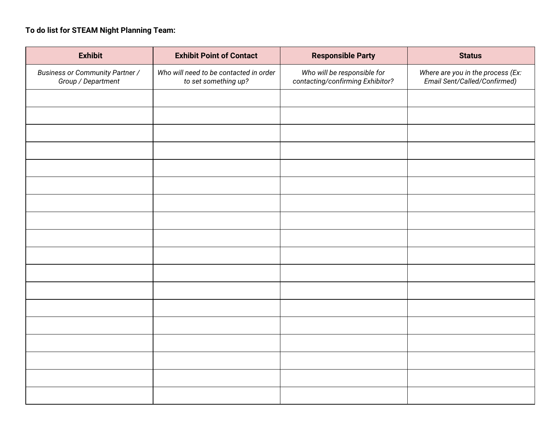### **To do list for STEAM Night Planning Team:**

| <b>Exhibit</b>                                               | <b>Exhibit Point of Contact</b>                                | <b>Responsible Party</b>                                        | <b>Status</b>                                                     |
|--------------------------------------------------------------|----------------------------------------------------------------|-----------------------------------------------------------------|-------------------------------------------------------------------|
| <b>Business or Community Partner /</b><br>Group / Department | Who will need to be contacted in order<br>to set something up? | Who will be responsible for<br>contacting/confirming Exhibitor? | Where are you in the process (Ex:<br>Email Sent/Called/Confirmed) |
|                                                              |                                                                |                                                                 |                                                                   |
|                                                              |                                                                |                                                                 |                                                                   |
|                                                              |                                                                |                                                                 |                                                                   |
|                                                              |                                                                |                                                                 |                                                                   |
|                                                              |                                                                |                                                                 |                                                                   |
|                                                              |                                                                |                                                                 |                                                                   |
|                                                              |                                                                |                                                                 |                                                                   |
|                                                              |                                                                |                                                                 |                                                                   |
|                                                              |                                                                |                                                                 |                                                                   |
|                                                              |                                                                |                                                                 |                                                                   |
|                                                              |                                                                |                                                                 |                                                                   |
|                                                              |                                                                |                                                                 |                                                                   |
|                                                              |                                                                |                                                                 |                                                                   |
|                                                              |                                                                |                                                                 |                                                                   |
|                                                              |                                                                |                                                                 |                                                                   |
|                                                              |                                                                |                                                                 |                                                                   |
|                                                              |                                                                |                                                                 |                                                                   |
|                                                              |                                                                |                                                                 |                                                                   |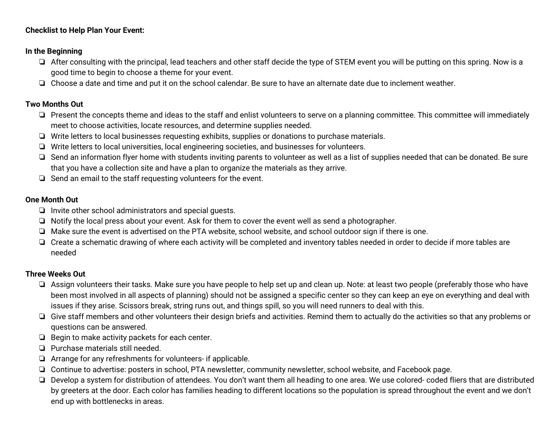#### **Checklist to Help Plan Your Event:**

#### **In the Beginning**

- ❏ After consulting with the principal, lead teachers and other staff decide the type of STEM event you will be putting on this spring. Now is a good time to begin to choose a theme for your event.
- ❏ Choose a date and time and put it on the school calendar. Be sure to have an alternate date due to inclement weather.

#### **Two Months Out**

- ❏ Present the concepts theme and ideas to the staff and enlist volunteers to serve on a planning committee. This committee will immediately meet to choose activities, locate resources, and determine supplies needed.
- ❏ Write letters to local businesses requesting exhibits, supplies or donations to purchase materials.
- ❏ Write letters to local universities, local engineering societies, and businesses for volunteers.
- ❏ Send an information flyer home with students inviting parents to volunteer as well as a list of supplies needed that can be donated. Be sure that you have a collection site and have a plan to organize the materials as they arrive.
- ❏ Send an email to the staff requesting volunteers for the event.

#### **One Month Out**

- ❏ Invite other school administrators and special guests.
- ❏ Notify the local press about your event. Ask for them to cover the event well as send a photographer.
- ❏ Make sure the event is advertised on the PTA website, school website, and school outdoor sign if there is one.
- ❏ Create a schematic drawing of where each activity will be completed and inventory tables needed in order to decide if more tables are needed

#### **Three Weeks Out**

- ❏ Assign volunteers their tasks. Make sure you have people to help set up and clean up. Note: at least two people (preferably those who have been most involved in all aspects of planning) should not be assigned a specific center so they can keep an eye on everything and deal with issues if they arise. Scissors break, string runs out, and things spill, so you will need runners to deal with this.
- ❏ Give staff members and other volunteers their design briefs and activities. Remind them to actually do the activities so that any problems or questions can be answered.
- ❏ Begin to make activity packets for each center.
- ❏ Purchase materials still needed.
- ❏ Arrange for any refreshments for volunteers- if applicable.
- ❏ Continue to advertise: posters in school, PTA newsletter, community newsletter, school website, and Facebook page.
- ❏ Develop a system for distribution of attendees. You don't want them all heading to one area. We use colored- coded fliers that are distributed by greeters at the door. Each color has families heading to different locations so the population is spread throughout the event and we don't end up with bottlenecks in areas.